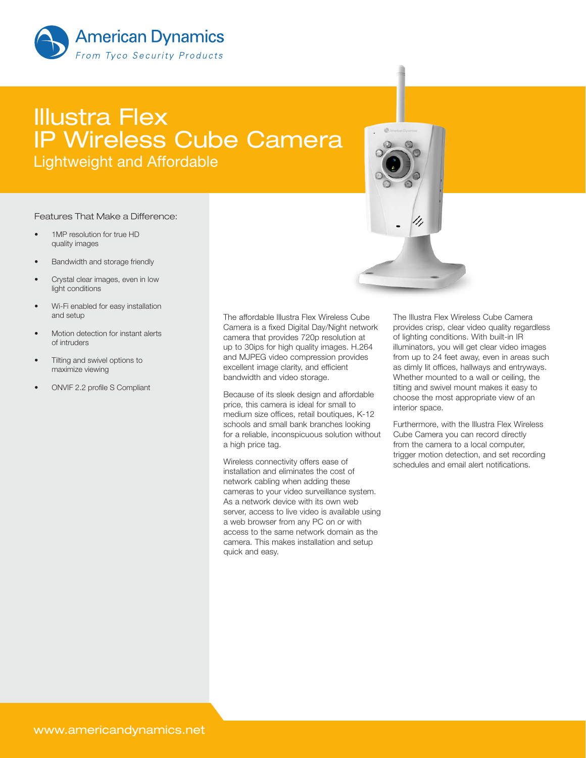

## Illustra Flex IP Wireless Cube Camera Lightweight and Affordable

## Features That Make a Difference:

- 1MP resolution for true HD quality images
- Bandwidth and storage friendly
- Crystal clear images, even in low light conditions
- Wi-Fi enabled for easy installation and setup
- Motion detection for instant alerts of intruders
- Tilting and swivel options to maximize viewing
- ONVIF 2.2 profile S Compliant

The affordable Illustra Flex Wireless Cube Camera is a fixed Digital Day/Night network camera that provides 720p resolution at up to 30ips for high quality images. H.264 and MJPEG video compression provides excellent image clarity, and efficient bandwidth and video storage.

Because of its sleek design and affordable price, this camera is ideal for small to medium size offices, retail boutiques, K-12 schools and small bank branches looking for a reliable, inconspicuous solution without a high price tag.

Wireless connectivity offers ease of installation and eliminates the cost of network cabling when adding these cameras to your video surveillance system. As a network device with its own web server, access to live video is available using a web browser from any PC on or with access to the same network domain as the camera. This makes installation and setup quick and easy.

The Illustra Flex Wireless Cube Camera provides crisp, clear video quality regardless of lighting conditions. With built-in IR illuminators, you will get clear video images from up to 24 feet away, even in areas such as dimly lit offices, hallways and entryways. Whether mounted to a wall or ceiling, the tilting and swivel mount makes it easy to choose the most appropriate view of an interior space.

Furthermore, with the Illustra Flex Wireless Cube Camera you can record directly from the camera to a local computer, trigger motion detection, and set recording schedules and email alert notifications.